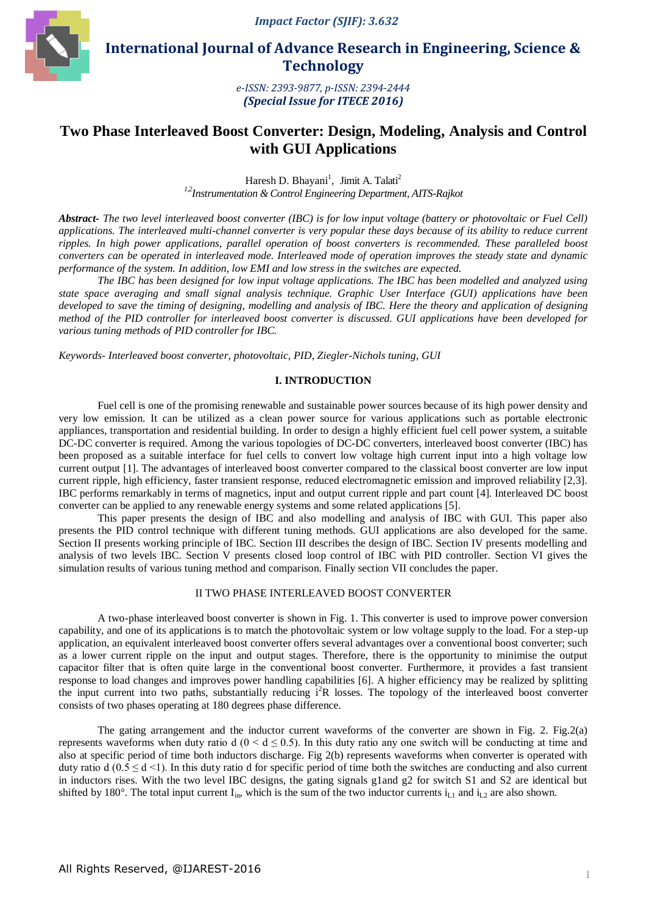*Impact Factor (SJIF): 3.632*



 **International Journal of Advance Research in Engineering, Science & Technology** 

> *e-ISSN: 2393-9877, p-ISSN: 2394-2444 (Special Issue for ITECE 2016)*

# **Two Phase Interleaved Boost Converter: Design, Modeling, Analysis and Control with GUI Applications**

Haresh D. Bhayani<sup>1</sup>, Jimit A. Talati<sup>2</sup> *1,2Instrumentation & Control Engineering Department, AITS-Rajkot*

*Abstract- The two level interleaved boost converter (IBC) is for low input voltage (battery or photovoltaic or Fuel Cell) applications. The interleaved multi-channel converter is very popular these days because of its ability to reduce current ripples. In high power applications, parallel operation of boost converters is recommended. These paralleled boost converters can be operated in interleaved mode. Interleaved mode of operation improves the steady state and dynamic performance of the system. In addition, low EMI and low stress in the switches are expected.*

*The IBC has been designed for low input voltage applications. The IBC has been modelled and analyzed using state space averaging and small signal analysis technique. Graphic User Interface (GUI) applications have been developed to save the timing of designing, modelling and analysis of IBC. Here the theory and application of designing method of the PID controller for interleaved boost converter is discussed. GUI applications have been developed for various tuning methods of PID controller for IBC.*

*Keywords- Interleaved boost converter, photovoltaic, PID, Ziegler-Nichols tuning, GUI*

## **I. INTRODUCTION**

Fuel cell is one of the promising renewable and sustainable power sources because of its high power density and very low emission. It can be utilized as a clean power source for various applications such as portable electronic appliances, transportation and residential building. In order to design a highly efficient fuel cell power system, a suitable DC-DC converter is required. Among the various topologies of DC-DC converters, interleaved boost converter (IBC) has been proposed as a suitable interface for fuel cells to convert low voltage high current input into a high voltage low current output [1]. The advantages of interleaved boost converter compared to the classical boost converter are low input current ripple, high efficiency, faster transient response, reduced electromagnetic emission and improved reliability [2,3]. IBC performs remarkably in terms of magnetics, input and output current ripple and part count [4]. Interleaved DC boost converter can be applied to any renewable energy systems and some related applications [5].

This paper presents the design of IBC and also modelling and analysis of IBC with GUI. This paper also presents the PID control technique with different tuning methods. GUI applications are also developed for the same. Section II presents working principle of IBC. Section III describes the design of IBC. Section IV presents modelling and analysis of two levels IBC. Section V presents closed loop control of IBC with PID controller. Section VI gives the simulation results of various tuning method and comparison. Finally section VII concludes the paper.

### II TWO PHASE INTERLEAVED BOOST CONVERTER

A two-phase interleaved boost converter is shown in Fig. 1. This converter is used to improve power conversion capability, and one of its applications is to match the photovoltaic system or low voltage supply to the load. For a step-up application, an equivalent interleaved boost converter offers several advantages over a conventional boost converter; such as a lower current ripple on the input and output stages. Therefore, there is the opportunity to minimise the output capacitor filter that is often quite large in the conventional boost converter. Furthermore, it provides a fast transient response to load changes and improves power handling capabilities [6]. A higher efficiency may be realized by splitting the input current into two paths, substantially reducing  $i^2R$  losses. The topology of the interleaved boost converter consists of two phases operating at 180 degrees phase difference.

The gating arrangement and the inductor current waveforms of the converter are shown in Fig. 2. Fig.2(a) represents waveforms when duty ratio d ( $0 < d \le 0.5$ ). In this duty ratio any one switch will be conducting at time and also at specific period of time both inductors discharge. Fig 2(b) represents waveforms when converter is operated with duty ratio d (0.5  $\leq$  d  $\leq$  1). In this duty ratio d for specific period of time both the switches are conducting and also current in inductors rises. With the two level IBC designs, the gating signals g1and g2 for switch S1 and S2 are identical but shifted by 180°. The total input current  $I_{in}$ , which is the sum of the two inductor currents  $i_{L1}$  and  $i_{L2}$  are also shown.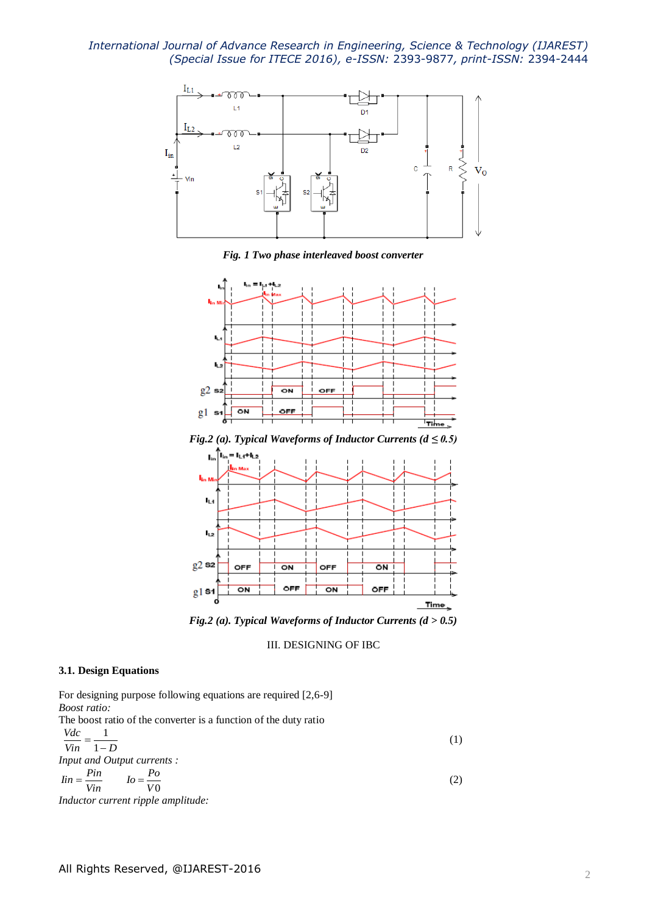

*Fig. 1 Two phase interleaved boost converter*





*Fig.2 (a). Typical Waveforms of Inductor Currents (d > 0.5)*

III. DESIGNING OF IBC

### **3.1. Design Equations**

For designing purpose following equations are required [2,6-9] *Boost ratio:* The boost ratio of the converter is a function of the duty ratio *Vdc* 1

$$
\frac{vac}{Vin} = \frac{1}{1 - D}
$$
\nInput and Output currents :

\n
$$
Iin = \frac{Pin}{Vin} \qquad Io = \frac{Po}{V0}
$$
\n(2)

*Inductor current ripple amplitude:*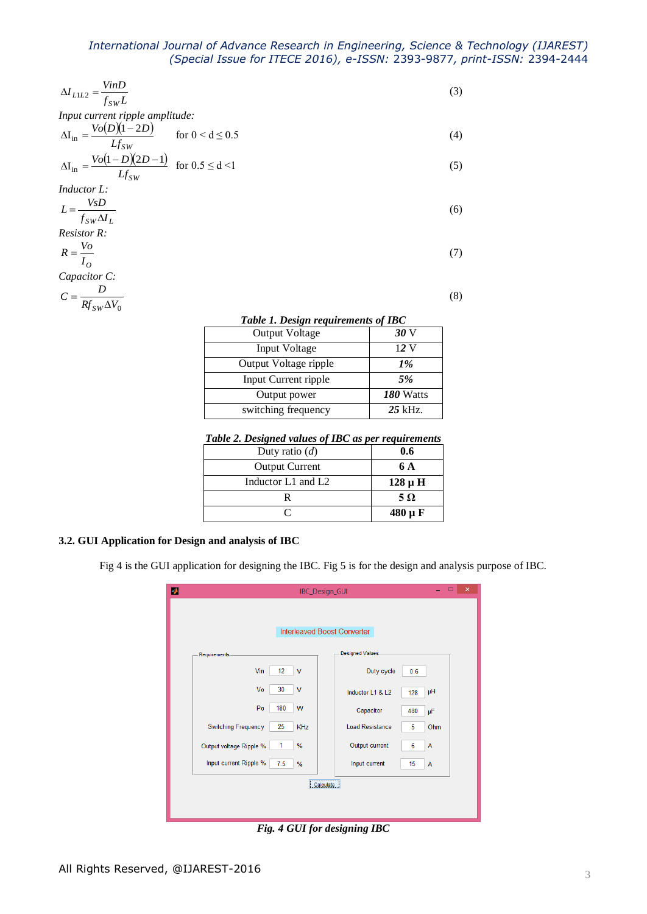| $\Delta I_{LL2} = \frac{V in D}{f_{SW} L}$                                    | (3) |
|-------------------------------------------------------------------------------|-----|
| Input current ripple amplitude:                                               |     |
| $\Delta I_{in} = \frac{Vo(D)(1-2D)}{Lg}$<br>for $0 < d \leq 0.5$<br>$Lf_{SW}$ | (4) |
| $\Delta I_{in} = \frac{Vo(1-D)(2D-1)}{Lf_{SW}}$ for $0.5 \le d \le 1$         | (5) |
| <i>Inductor L:</i>                                                            |     |
| $L = \frac{VsD}{\sqrt{V}}$<br>$f_{SW}\Delta I_L$                              | (6) |
| <b>Resistor R:</b>                                                            |     |
| $R = \frac{V_o}{V}$<br>$I_{O}$                                                | (7) |
| Capacitor C:                                                                  |     |

$$
\begin{array}{cc}\n & D \\
\end{array}
$$

$$
C = \frac{D}{Rf_{SW}\Delta V_0}
$$

*Table 1. Design requirements of IBC*

(8)

| <b>Output Voltage</b> |                  |
|-----------------------|------------------|
| Input Voltage         | 12 V             |
| Output Voltage ripple | $1\%$            |
| Input Current ripple  | 5%               |
| Output power          | <b>180 Watts</b> |
| switching frequency   | $25$ kHz.        |

## *Table 2. Designed values of IBC as per requirements*

| Duty ratio $(d)$      | 0.6         |
|-----------------------|-------------|
| <b>Output Current</b> | 6 A         |
| Inductor L1 and L2    | $128 \mu H$ |
|                       | $5\Omega$   |
|                       | $480 \mu F$ |

# **3.2. GUI Application for Design and analysis of IBC**

Fig 4 is the GUI application for designing the IBC. Fig 5 is for the design and analysis purpose of IBC.

| $\pmb{\times}$<br>$\Box$<br>А<br>IBC_Design_GUI |                         |                        |                     |  |  |  |
|-------------------------------------------------|-------------------------|------------------------|---------------------|--|--|--|
| Interleaved Boost Converter                     |                         |                        |                     |  |  |  |
| Requirements-                                   | <b>Designed Values-</b> |                        |                     |  |  |  |
| Vin<br>12                                       | $\mathsf{V}$            | Duty cycle             | 0.6                 |  |  |  |
| Vo<br>30                                        | $\mathsf{V}$            | Inductor L1 & L2       | μH<br>128           |  |  |  |
| P <sub>0</sub><br>180                           | W                       | Capacitor              | 480<br>μF           |  |  |  |
| <b>Switching Frequency</b><br>25                | KHz                     | <b>Load Resistance</b> | 5<br>Ohm            |  |  |  |
| 1<br>Output voltage Ripple %                    | %                       | Output current         | 6<br>$\overline{A}$ |  |  |  |
| Input current Ripple %<br>7.5                   | %                       | Input current          | 15<br>A             |  |  |  |
| <br>Calculate                                   |                         |                        |                     |  |  |  |
|                                                 |                         |                        |                     |  |  |  |
|                                                 |                         |                        |                     |  |  |  |

*Fig. 4 GUI for designing IBC*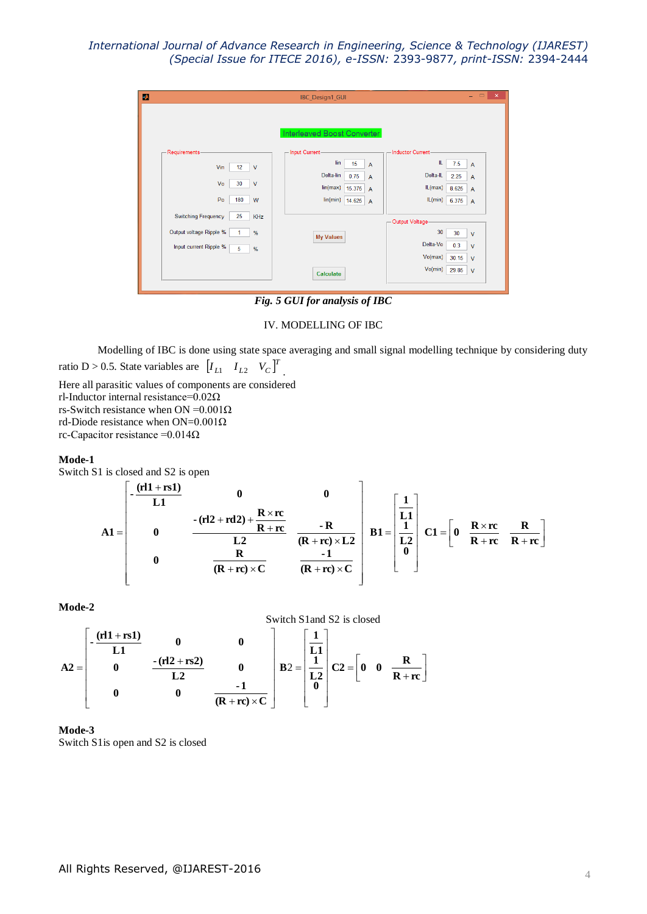| D |                                                                                                 |                                   | IBC_Design1_GUI                                                                                                                                                                                       | $\Box$<br>$\propto$<br>÷                                                                                                                                                   |
|---|-------------------------------------------------------------------------------------------------|-----------------------------------|-------------------------------------------------------------------------------------------------------------------------------------------------------------------------------------------------------|----------------------------------------------------------------------------------------------------------------------------------------------------------------------------|
|   | Requirements-<br>Vin<br>12<br>Vo<br>30<br>P <sub>0</sub><br>180                                 | $\mathsf{V}$<br>$\mathsf{V}$<br>W | Interleaved Boost Converter<br>- Input Current-<br>lin<br>15<br>$\overline{A}$<br>Delta-lin<br>0.75<br>$\overline{A}$<br>lin(max)<br>15.375<br>$\overline{A}$<br>lin(min)<br>14.625<br>$\overline{A}$ | <b>Inductor Current-</b><br>IL.<br>7.5<br>$\overline{A}$<br>Delta-IL<br>2.25<br>$\overline{A}$<br>IL(max)<br>8.625<br>$\overline{A}$<br>IL(min)<br>6.375<br>$\overline{A}$ |
|   | <b>Switching Frequency</b><br>25<br>Output voltage Ripple %<br>1<br>Input current Ripple %<br>5 | <b>KHz</b><br>%<br>%              | <b>My Values</b><br>Calculate                                                                                                                                                                         | Output Voltage-<br>30<br>30<br>$\mathsf{V}$<br>Delta-Vo<br>0.3<br>$\mathsf{V}$<br>Vo(max)<br>30.15<br>$\mathsf{V}$<br>Vo(min)<br>29.85<br>$\mathsf{V}$                     |

*Fig. 5 GUI for analysis of IBC*

### IV. MODELLING OF IBC

Modelling of IBC is done using state space averaging and small signal modelling technique by considering duty ratio D > 0.5. State variables are  $[I_{L1} \quad I_{L2} \quad V_C]^T$ .

Here all parasitic values of components are considered rl-Inductor internal resistance=0.02Ω rs-Switch resistance when ON = $0.001\Omega$ rd-Diode resistance when ON=0.001Ω rc-Capacitor resistance = $0.014\Omega$ 

### **Mode-1**

Switch S1 is closed and S2 is open

$$
A1 = \begin{bmatrix} -\frac{(r11 + rs1)}{L1} & 0 & 0 \\ 0 & -\frac{(r12 + rd2) + \frac{R \times rc}{R + rc}}{L2} & \frac{-R}{(R + rc) \times L2} \\ 0 & \frac{R}{(R + rc) \times C} & \frac{-1}{(R + rc) \times C} \end{bmatrix} B1 = \begin{bmatrix} \frac{1}{L1} \\ \frac{1}{L2} \\ 0 \end{bmatrix} C1 = \begin{bmatrix} 0 & \frac{R \times rc}{R + rc} & \frac{R}{R + rc} \end{bmatrix}
$$

**Mode-2**



# **Mode-3**

Switch S1is open and S2 is closed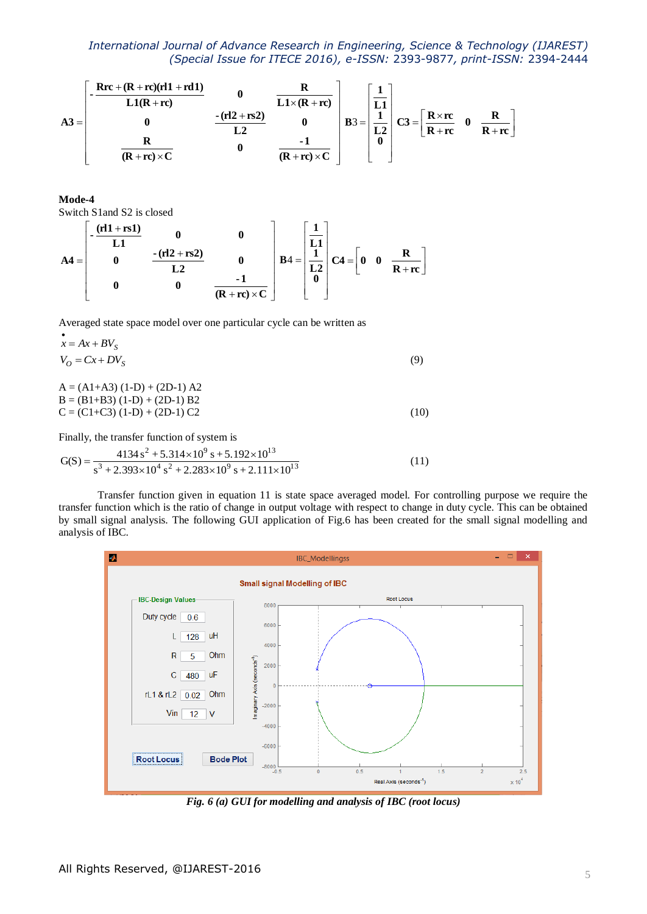$$
A3 = \begin{bmatrix} -\frac{Rrc + (R + rc)(rl1 + rd1)}{L1(R + rc)} & 0 & \frac{R}{L1 \times (R + rc)} \\ 0 & -\frac{(rl2 + rs2)}{L2} & 0 \\ \frac{R}{(R + rc) \times C} & 0 & \frac{-1}{(R + rc) \times C} \end{bmatrix} B3 = \begin{bmatrix} \frac{1}{L1} \\ \frac{1}{L2} \\ 0 \end{bmatrix} C3 = \begin{bmatrix} R \times rc & 0 & \frac{R}{R + rc} \end{bmatrix}
$$

**Mode-4**

Switch S1and S2 is closed

$$
A4 = \begin{bmatrix} -\frac{(rI1 + rs1)}{L1} & 0 & 0 \\ 0 & -\frac{(rI2 + rs2)}{L2} & 0 \\ 0 & 0 & \frac{-1}{(R + rc) \times C} \end{bmatrix} B4 = \begin{bmatrix} \frac{1}{L1} \\ \frac{1}{L2} \\ 0 \end{bmatrix} CA = \begin{bmatrix} 0 & 0 & \frac{R}{R + rc} \end{bmatrix}
$$

Averaged state space model over one particular cycle can be written as

$$
x = Ax + BV_S
$$
  
\n
$$
V_O = Cx + DV_S
$$
  
\n
$$
A = (A1 + A3) (1-D) + (2D-1) A2
$$
  
\n
$$
B = (B1 + B3) (1-D) + (2D-1) B2
$$
 (9)

 $C = (C1+C3) (1-D) + (2D-1) C2$  (10)

Finally, the transfer function of system is  
\n
$$
G(S) = \frac{4134 s^2 + 5.314 \times 10^9 s + 5.192 \times 10^{13}}{s^3 + 2.393 \times 10^4 s^2 + 2.283 \times 10^9 s + 2.111 \times 10^{13}}
$$
\n(11)

Transfer function given in equation 11 is state space averaged model. For controlling purpose we require the transfer function which is the ratio of change in output voltage with respect to change in duty cycle. This can be obtained by small signal analysis. The following GUI application of Fig.6 has been created for the small signal modelling and analysis of IBC.



*Fig. 6 (a) GUI for modelling and analysis of IBC (root locus)*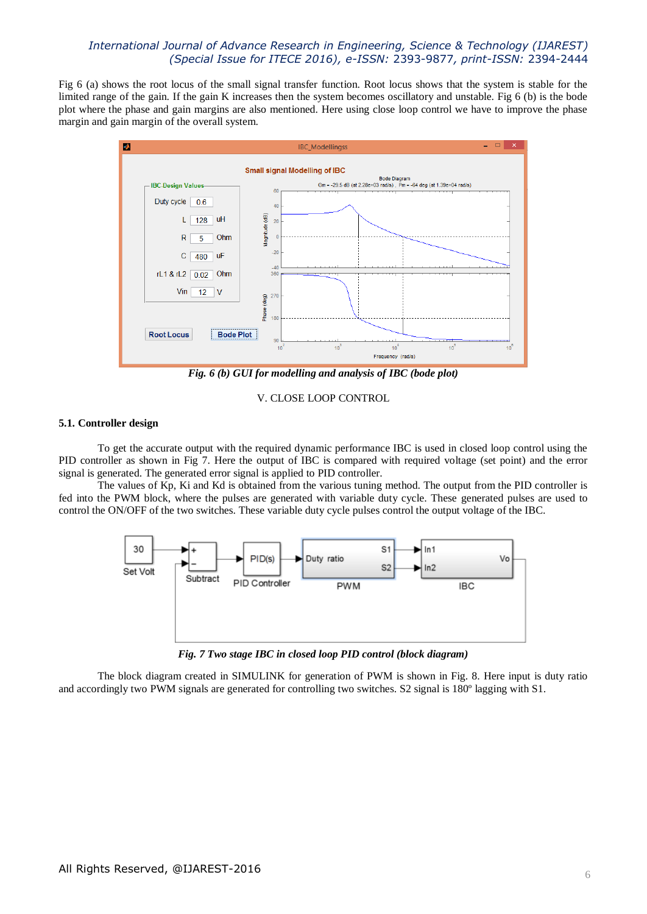Fig 6 (a) shows the root locus of the small signal transfer function. Root locus shows that the system is stable for the limited range of the gain. If the gain K increases then the system becomes oscillatory and unstable. Fig 6 (b) is the bode plot where the phase and gain margins are also mentioned. Here using close loop control we have to improve the phase margin and gain margin of the overall system.



*Fig. 6 (b) GUI for modelling and analysis of IBC (bode plot)*

## V. CLOSE LOOP CONTROL

## **5.1. Controller design**

To get the accurate output with the required dynamic performance IBC is used in closed loop control using the PID controller as shown in Fig 7. Here the output of IBC is compared with required voltage (set point) and the error signal is generated. The generated error signal is applied to PID controller.

The values of Kp, Ki and Kd is obtained from the various tuning method. The output from the PID controller is fed into the PWM block, where the pulses are generated with variable duty cycle. These generated pulses are used to control the ON/OFF of the two switches. These variable duty cycle pulses control the output voltage of the IBC.



*Fig. 7 Two stage IBC in closed loop PID control (block diagram)*

The block diagram created in SIMULINK for generation of PWM is shown in Fig. 8. Here input is duty ratio and accordingly two PWM signals are generated for controlling two switches. S2 signal is 180º lagging with S1.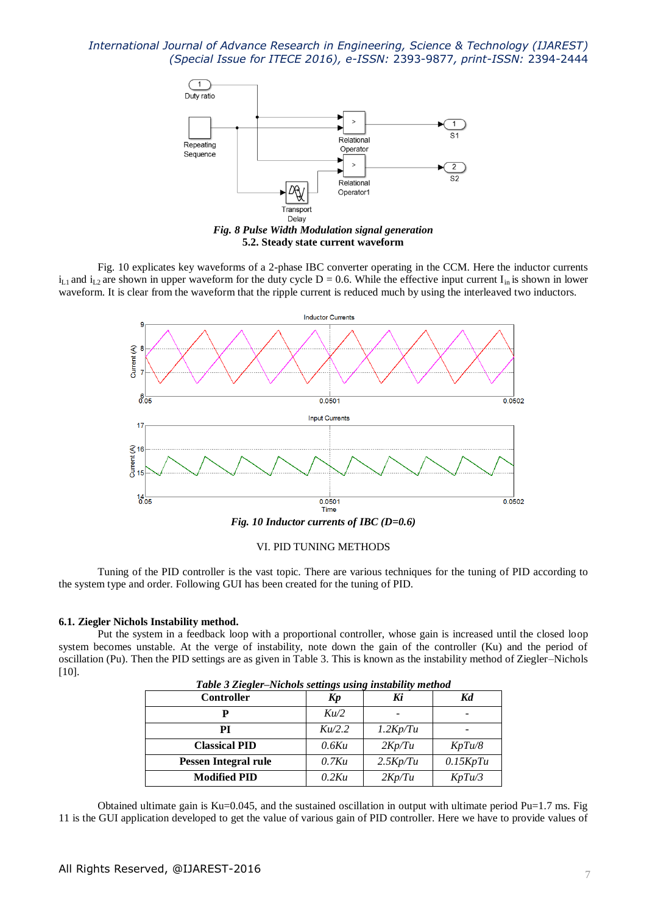

Fig. 10 explicates key waveforms of a 2-phase IBC converter operating in the CCM. Here the inductor currents  $i_{L1}$  and  $i_{L2}$  are shown in upper waveform for the duty cycle D = 0.6. While the effective input current  $I_{in}$  is shown in lower waveform. It is clear from the waveform that the ripple current is reduced much by using the interleaved two inductors.



### VI. PID TUNING METHODS

Tuning of the PID controller is the vast topic. There are various techniques for the tuning of PID according to the system type and order. Following GUI has been created for the tuning of PID.

### **6.1. Ziegler Nichols Instability method.**

Put the system in a feedback loop with a proportional controller, whose gain is increased until the closed loop system becomes unstable. At the verge of instability, note down the gain of the controller (Ku) and the period of oscillation (Pu). Then the PID settings are as given in Table 3. This is known as the instability method of Ziegler–Nichols [10].

| тате э педен-тактов зеницуз изице тзитни тепто<br><b>Controller</b> | Kp       | Ki       | Kd       |
|---------------------------------------------------------------------|----------|----------|----------|
|                                                                     | Ku/2     |          |          |
| PI                                                                  | Ku/2.2   | 1.2Kp/Tu |          |
| <b>Classical PID</b>                                                | 0.6Ku    | 2Kp/Tu   | KpTu/8   |
| Pessen Integral rule                                                | $0.7$ Ku | 2.5Kp/Tu | 0.15KpTu |
| <b>Modified PID</b>                                                 | 0.2Ku    | 2Kp/Tu   | KpTu/3   |

*Table 3 Ziegler–Nichols settings using instability method*

Obtained ultimate gain is Ku=0.045, and the sustained oscillation in output with ultimate period  $Pu=1.7$  ms. Fig 11 is the GUI application developed to get the value of various gain of PID controller. Here we have to provide values of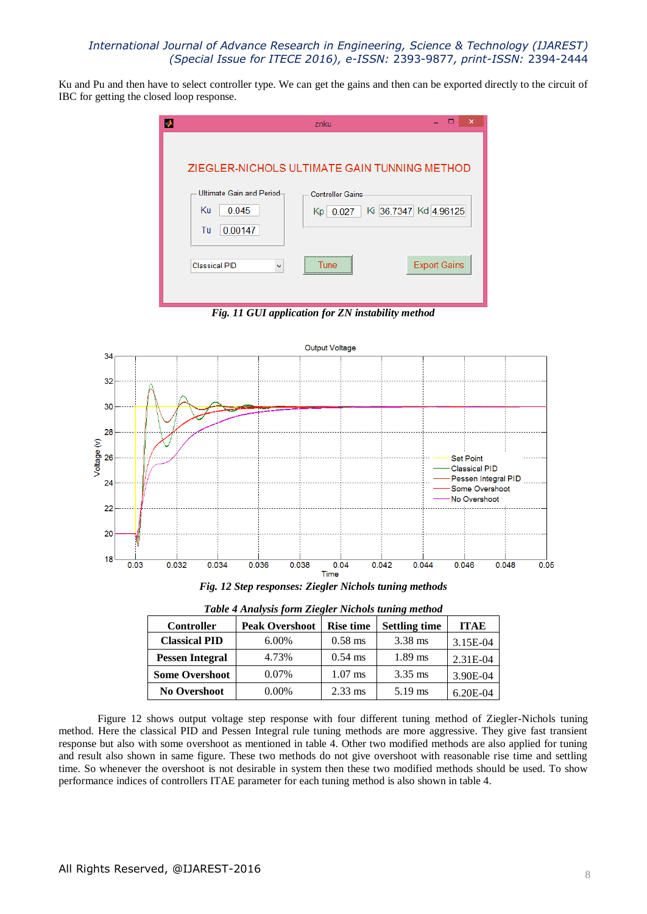Ku and Pu and then have to select controller type. We can get the gains and then can be exported directly to the circuit of IBC for getting the closed loop response.



*Fig. 11 GUI application for ZN instability method*



*Fig. 12 Step responses: Ziegler Nichols tuning methods*

| <b>Controller</b>      | <b>Peak Overshoot</b> | <b>Rise time</b> | <b>Settling time</b> | <b>ITAE</b> |
|------------------------|-----------------------|------------------|----------------------|-------------|
| <b>Classical PID</b>   | $6.00\%$              | $0.58$ ms        | $3.38$ ms            | 3.15E-04    |
| <b>Pessen Integral</b> | 4.73%                 | $0.54$ ms        | $1.89$ ms            | 2.31E-04    |
| <b>Some Overshoot</b>  | $0.07\%$              | $1.07$ ms        | $3.35$ ms            | 3.90E-04    |
| <b>No Overshoot</b>    | $0.00\%$              | $2.33$ ms        | $5.19$ ms            | $6.20E-04$  |

*Table 4 Analysis form Ziegler Nichols tuning method*

Figure 12 shows output voltage step response with four different tuning method of Ziegler-Nichols tuning method. Here the classical PID and Pessen Integral rule tuning methods are more aggressive. They give fast transient response but also with some overshoot as mentioned in table 4. Other two modified methods are also applied for tuning and result also shown in same figure. These two methods do not give overshoot with reasonable rise time and settling time. So whenever the overshoot is not desirable in system then these two modified methods should be used. To show performance indices of controllers ITAE parameter for each tuning method is also shown in table 4.